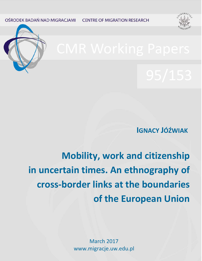OŚRODEK BADAŃ NAD MIGRACJAMI **CENTRE OF MIGRATION RESEARCH** 





**IGNACY JÓŹWIAK**

**Mobility, work and citizenship in uncertain times. An ethnography of cross-border links at the boundaries of the European Union**

> 1 www.migracje.uw.edu.plMarch 2017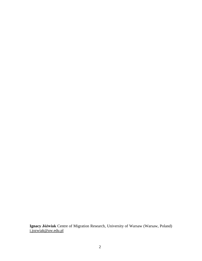**Ignacy Jóźwiak** Centre of Migration Research, University of Warsaw (Warsaw, Poland) [i.jozwiak@uw.edu.pl](mailto:i.jozwiak@uw.edu.pl)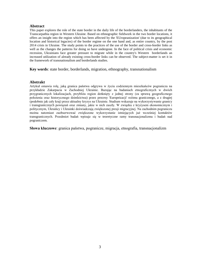### **Abstract**

This paper explores the role of the state border in the daily life of the borderlanders, the inhabitants of the Transcarpathia region in Western Ukraine. Based on ethnographic fieldwork in the two border locations, it offers an insight into the region which has been affected by the 'EUropeanization' (due to its geographical location and historical legacies) of the border regime on the one hand and, as entire country, by the post 2014 crisis in Ukraine. The study points to the practices of the use of the border and cross-border links as well as the changes the patterns for doing so have undergone. In the face of political crisis and economic recession, Ukrainians face greater pressure to migrate while in the country's Western borderlands an increased utilization of already existing cross-border links can be observed. The subject-matter is set it in the framework of transnationalism and borderlands studies.

**Key words**: state border, borderlands, migration, ethnography, transnationalism

### **Abstrakt**

Artykuł omawia rolę, jaką granica państwa odgrywa w życiu codziennym mieszkańców pogranicza na przykładzie Zakarpacia w Zachodniej Ukrainie. Bazując na badaniach etnograficznych w dwóch przygranicznych lokalizacjach, przybliża region dotknięty z jednej strony (za sprawą geograficznego położenia oraz historycznego dziedzictwa) przez procesy 'Europeizacji' reżimu granicznego, a z drugiej (podobnie jak cały kraj) przez aktualny kryzys na Ukrainie. Studium wskazuje na wykorzystywanie granicy i transgranicznych powiązań oraz zmiany, jakie w nich zaszły. W związku z kryzysem ekonomicznym i politycznym, Ukraińcy i Ukrainki doświadczają zwiększonej presji migracyjnej. Na zachodnim pograniczu można natomiast zaobserwować zwiększone wykorzystanie istniejących już wcześniej kontaktów transgranicznych. Przedmiot badań wpisuje się w teoretyczne ramy transnacjonalizmu i badań nad pograniczem.

**Słowa kluczowe**: granica państwa, pogranicze, migracja, etnografia, transnacjonalizm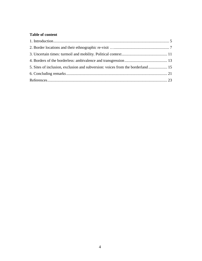# **Table of content**

| 5. Sites of inclusion, exclusion and subversion: voices from the borderland 15 |  |
|--------------------------------------------------------------------------------|--|
|                                                                                |  |
|                                                                                |  |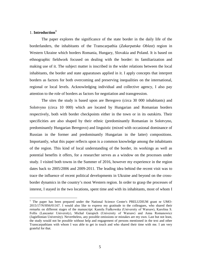# <span id="page-4-0"></span>1. **Introduction[1](#page-4-1)**

The paper explores the significance of the state border in the daily life of the borderlanders, the inhabitants of the Transcarpathia (*Zakarpatska Oblast*) region in Western Ukraine which borders Romania, Hungary, Slovakia and Poland. It is based on ethnographic fieldwork focused on dealing with the border: its familiarization and making use of it. The subject matter is inscribed in the wider relations between the local inhabitants, the border and state apparatuses applied in it. I apply concepts that interpret borders as factors for both overcoming and preserving inequalities on the international, regional or local levels. Acknowledging individual and collective agency, I also pay attention to the role of borders as factors for negotiation and transgression.

The sites the study is based upon are Beregovo (circa 30 000 inhabitants) and Solotvyno (circa 10 000) which are located by Hungarian and Romanian borders respectively, both with border checkpoints either in the town or in its outskirts. Their specificities are also shaped by their ethnic (predominantly Romanian in Solotvyno, predominantly Hungarian Beregovo) and linguistic (mixed with occasional dominance of Russian in the former and predominantly Hungarian in the latter) compositions. Importantly, what this paper reflects upon is a common knowledge among the inhabitants of the region. This kind of local understanding of the border, its workings as well as potential benefits it offers, for a researcher serves as a window on the processes under study. I visited both towns in the Summer of 2016, however my experience in the region dates back to 2005/2006 and 2009-2011. The leading idea behind the recent visit was to trace the influence of recent political developments in Ukraine and beyond on the crossborder dynamics in the country's most Western region. In order to grasp the processes of interest, I stayed in the two locations, spent time and with its inhabitants, most of whom I

<span id="page-4-1"></span> $<sup>1</sup>$  The paper has been prepared under the National Science Center's PRELUDIUM grant nr UMO-</sup> 2015/17/N/HS6/01167. I would also like to express my gratitude to the colleagues, who shared their remarks on different stages of the manuscript: Kamila Fiałkowska (University of Warsaw), Karolina S. Follis (Lancaster University), Michał Garapich (University of Warsaw) and Anna Romanowicz (Jagiellonian University). Nevertheless, any possible omissions or mistakes are my own. Last but not least, the study would not be possible without help and engagement of persons mentioned in the text and other Transcarpathians with whom I was able to get in touch and who shared their time with me. I am very grateful for that.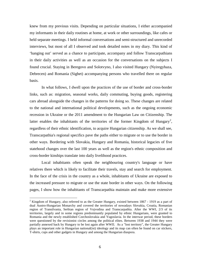knew from my previous visits. Depending on particular situations, I either accompanied my informants in their daily routines at home, at work or other surroundings, like cafes or held separate meetings. I held informal conversations and semi-structured and unrecorded interviews, but most of all I observed and took detailed notes in my diary. This kind of 'hanging out' served as a chance to participate, accompany and follow Transcarpathians in their daily activities as well as an occasion for the conversations on the subjects I found crucial. Staying in Beregovo and Solotvyno, I also visited Hungary (Nyiregyhaza, Debrecen) and Romania (Sighet) accompanying persons who travelled there on regular basis.

In what follows, I dwell upon the practices of the use of border and cross-border links, such as: migration, seasonal works, daily commuting, buying goods, registering cars abroad alongside the changes in the patterns for doing so. These changes are related to the national and international political developments, such as the ongoing economic recession in Ukraine or the 2011 amendment to the Hungarian Law on Citizenship. The latter enables the inhabitants of the territories of the former Kingdom of Hungary<sup>[2](#page-5-0)</sup>, regardless of their ethnic identification, to acquire Hungarian citizenship. As we shall see, Transcarpathia's regional specifics pave the paths either to migrate or to use the border in other ways. Bordering with Slovakia, Hungary and Romania, historical legacies of five statehood changes over the last 100 years as well as the region's ethnic composition and cross-border kinships translate into daily livelihood practices.

Local inhabitants often speak the neighbouring country's language or have relatives there which is likely to facilitate their travels, stay and search for employment. In the face of the crisis in the country as a whole, inhabitants of Ukraine are exposed to the increased pressure to migrate or use the state border in other ways. On the following pages, I show how the inhabitants of Transcarpathia maintain and make more extensive

<span id="page-5-0"></span><sup>&</sup>lt;sup>2</sup> Kingdom of Hungary, also referred to as the Greater Hungary, existed between 1867 - 1919 as a part of dual Austro-Hungarian Monarchy and covered the territories of nowadays Slovakia, Croatia, Romanian region of Transilvania, Serbian region of Vojvodina and Transcarpathia. After the WWI, 2/3 of its territories, largely and in some regions predominantly populated by ethnic Hungarians, were granted to Romania and the newly established Czechoslovakia and Yugoslavia. In the interwar period, these borders were questioned by the revisionist circles among the political elites. Between 1938 and 1944 they were partially annexed back by Hungary to be lost again after WWII. As a "lost territory", the Greater Hungary plays an important role in Hungarian national(ist) ideology and its map can often be found on car stickers, T-shirts, cups and other gadgets in Hungary and among the Hungarian diaspora.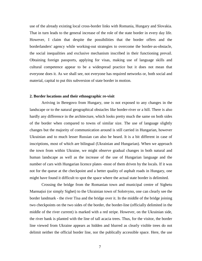use of the already existing local cross-border links with Romania, Hungary and Slovakia. That in turn leads to the general increase of the role of the state border in every day life. However, I claim that despite the possibilities that the border offers and the borderlanders' agency while working-out strategies to overcome the border-as-obstacle, the social inequalities and exclusive mechanism inscribed in their functioning prevail. Obtaining foreign passports, applying for visas, making use of language skills and cultural competence appear to be a widespread practice but it does not mean that everyone does it. As we shall see, not everyone has required networks or, both social and material, capital to put this subversion of state border in motion.

# <span id="page-6-0"></span>**2. Border locations and their ethnographic re-visit**

Arriving in Beregovo from Hungary, one is not exposed to any changes in the landscape or to the natural geographical obstacles like border-river or a hill. There is also hardly any difference in the architecture, which looks pretty much the same on both sides of the border when compared to towns of similar size. The use of language slightly changes but the majority of communication around is still carried in Hungarian, however Ukrainian and to much lesser Russian can also be heard. It is a bit different in case of inscriptions, most of which are bilingual (Ukrainian and Hungarian). When we approach the town from within Ukraine, we might observe gradual changes in both natural and human landscape as well as the increase of the use of Hungarian language and the number of cars with Hungarian licence plates -most of them driven by the locals. If it was not for the queue at the checkpoint and a better quality of asphalt roads in Hungary, one might have found it difficult to spot the space where the actual state border is delimited.

Crossing the bridge from the Romanian town and municipal centre of Sighetu Marmației (or simply Sighet) to the Ukrainian town of Solotvyno, one can clearly see the border landmark - the river Tisa and the bridge over it. In the middle of the bridge joining two checkpoints on the two sides of the border, the border-line (officially delimited in the middle of the river current) is marked with a red stripe. However, on the Ukrainian side, the river bank is planted with the line of tall acacia trees. Thus, for the visitor, the border line viewed from Ukraine appears as hidden and blurred as clearly visible trees do not delimit neither the official border line, nor the publically accessible space. Here, the use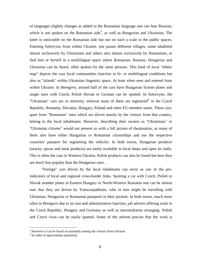of languages slightly changes as added to the Romanian language one can hear Russian, which is not spoken on the Romanian side<sup>[3](#page-7-0)</sup>, as well as Hungarian and Ukrainian. The latter is noticeable on the Romanian side but not on such a scale in the public spaces. Entering Solotvyno from within Ukraine, one passes different villages, some inhabited almost exclusively by Ukrainians and others also almost exclusively by Romanians, to find him or herself in a multilingual space where Romanian, Russian, Hungarian and Ukrainian can be heard, often spoken by the same persons. This kind of local "ethnic map" depicts the way local communities function in bi- or multilingual conditions but also as "islands" within Ukrainian linguistic space. At least when seen and entered from within Ukraine. In Beregovo, around half of the cars have Hungarian license plates and single ones with Czech, Polish Slovak or German can be spotted. In Solotvyno, the "Ukrainian" cars are in minority, whereas most of them are registered<sup>[4](#page-7-1)</sup> in the Czech Republic, Romania, Slovakia, Hungary, Poland and other EU-member states. These cars, apart from "Romanian" ones which are driven mostly by the visitors from that country, belong to the local inhabitants. However, describing their owners as "Ukrainians" or "Ukrainian citizens" would not present us with a full picture of thesituation, as many of them also have either Hungarian or Romanian citizenships and use the respective countries' passport for registering the vehicles. In both towns, Hungarian products (snacks, spices and meat products) are easily available in local shops and open air stalls. This is often the case in Western Ukraine, Polish products can also be found but here they are much less popular than the Hungarian ones.

"Foreign" cars driven by the local inhabitants can serve as one of the preindicators of local and regional cross-border links. Spotting a car with Czech, Polish or Slovak number plates in Eastern Hungary or North-Western Romania one can be almost sure that they are driven by Transcarpathians, who in turn might be travelling with Ukrainian, Hungarian or Romanian passports in their pockets. In both towns, much more often in Beregovo due to its size and administrative function, job adverts offering work in the Czech Republic, Hungary and Germany as well as intermediaries arranging Polish and Czech visas can be easily spotted. Some of the adverts precise that the work is

<span id="page-7-0"></span> $3$  However it can be heard occasionally among the visitors from Ukraine.

<span id="page-7-1"></span><sup>&</sup>lt;sup>4</sup> In order of approximate popularity.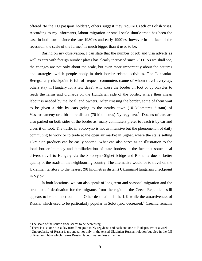offered "to the EU passport holders", others suggest they require Czech or Polish visas. According to my informants, labour migration or small scale shuttle trade has been the case in both towns since the late 1980ies and early 1990ies, however in the face of the recession, the scale of the former<sup>[5](#page-8-0)</sup> is much bigger than it used to be.

Basing on my observation, I can state that the number of job and visa adverts as well as cars with foreign number plates has clearly increased since 2011. As we shall see, the changes are not only about the scale, but even more importantly about the patterns and strategies which people apply in their border related activities. The Luzhanka-Beregsurany checkpoint is full of frequent commuters (some of whom travel everyday, others stay in Hungary for a few days), who cross the border on foot or by bicycles to reach the farms and orchards on the Hungarian side of the border, where their cheap labour is needed by the local land owners. After crossing the border, some of them wait to be given a ride by cars going to the nearby town (10 kilometres distant) of Vasarosnameny or a bit more distant (70 kilometres) Nyiregyhaza.<sup>[6](#page-8-1)</sup> Dozens of cars are also parked on both sides of the border as many commuters prefer to reach it by car and cross it on foot. The traffic in Solotvyno is not as intensive but the phenomenon of daily commuting to work or to trade at the open air market in Sighet, where the stalls selling Ukrainian products can be easily spotted. What can also serve as an illustration to the local border intimacy and familiarization of state borders is the fact that some local drivers travel to Hungary via the Solotvyno-Sighet bridge and Romania due to better quality of the roads in the neighbouring country. The alternative would be to travel on the Ukrainian territory to the nearest (98 kilometres distant) Ukrainian-Hungarian checkpoint in Vylok.

In both locations, we can also speak of long-term and seasonal migration and the "traditional" destination for the migrants from the region - the Czech Republic - still appears to be the most common. Other destination is the UK while the attractiveness of Russia, which used to be particularly popular in Solotvyno, decreased.<sup>[7](#page-8-2)</sup> Czechia remains

 $5$  The scale of the shuttle trade seems to be decreasing.

<span id="page-8-1"></span><span id="page-8-0"></span><sup>&</sup>lt;sup>6</sup> There is also one bus a day from Beregovo to Nyiregyhaza and back and one to Budapest twice a week.<br><sup>7</sup> Unpopularity of Russia is grounded not only in the tensed Ukrainian-Russian relation but also in the fall

<span id="page-8-2"></span>of Russian rubble which makes Russian labour market less attractive.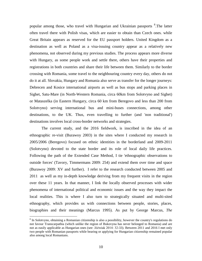popular among those, who travel with Hungarian and Ukrainian passports <sup>[8](#page-9-0)</sup>. The latter often travel there with Polish visas, which are easier to obtain than Czech ones. while Great Britain appears as reserved for the EU passport holders. United Kingdom as a destination as well as Poland as a visa-issuing country appear as a relatively new phenomena, not observed during my previous studies. The process appears more diverse with Hungary, as some people work and settle there, others have their properties and registrations in both countries and share their life between them. Similarly to the border crossing with Romania, some travel to the neighbouring country every day, others do not do it at all. Slovakia, Hungary and Romania also serve as transfer for the longer journeys: Debrecen and Kosice international airports as well as bus stops and parking places in Sighet, Satu-Mare (in North-Western Romania, circa 60km from Solotvyno and Sighet) or Mataszelka (in Eastern Hungary, circa 60 km from Beregovo and less than 200 from Solotvyno) serving international bus and mini-buses connections, among other destinations, to the UK. Thus, even travelling to further (and 'non traditional') destinations involves local cross-border networks and strategies.

The current study, and the 2016 fieldwork, is inscribed in the idea of an ethnographic re-visit (Burawoy 2003) in the sites where I conducted my research in 2005/2006 (Beregovo) focused on ethnic identities in the borderland and 2009-2011 (Solotvyno) devoted to the state border and its role of local daily life practices. Following the path of the Extended Case Method, I tie 'ethnographic observations to outside forces' (Tavory, Timmermans 2009: 254) and extend them over time and space (Burawoy 2009: XV and further). I refer to the research conducted between 2005 and 2011 as well as my in-depth knowledge deriving from my frequent visits in the region over these 11 years. In that manner, I link the locally observed processes with wider phenomena of international political and economic issues and the way they impact the local realities. This is where I also turn to strategically situated and multi-sited ethnography, which provides us with connections between people, stories, places, biographies and their meanings (Marcus 1995). As put by George Marcus, *The* 

<span id="page-9-0"></span> <sup>8</sup> In Solotvyno, obtaining a Romanian citizenship is also a possibility, however the country's regulations do not favour Transcarpathia (which unlike the region of Bukovyna has never belonged to Romania) and are not as easily applicable as Hungarian ones (see: Jóźwiak 2014: 32-33). Between 2011 and 2016 I met only two people with Romanian passports while bearing or applying for Hungarian citizenship remained popular also among local Romanians.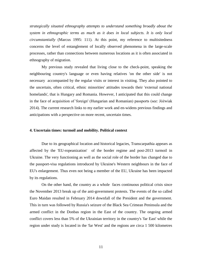*strategically situated ethnography attempts to understand something broadly about the system in ethnographic terms as much as it does in local subjects. It is only local circumstantially* (Marcus 1995: 111). At this point, my reference to multisitedness concerns the level of entanglement of locally observed phenomena in the large-scale processes, rather than connections between numerous locations as it is often associated in ethnography of migration.

My previous study revealed that living close to the check-point, speaking the neighbouring country's language or even having relatives 'on the other side' is not necessary accompanied by the regular visits or interest in visiting. They also pointed to the uncertain, often critical, ethnic minorities' attitudes towards their 'external national homelands', that is Hungary and Romania. However, I anticipated that this could change in the face of acquisition of 'foreign' (Hungarian and Romanian) passports (see: Jóźwiak 2014). The current research links to my earlier work and en-widens previous findings and anticipations with a perspective on more recent, uncertain times.

## <span id="page-10-0"></span>**4. Uncertain times: turmoil and mobility. Political context**

Due to its geographical location and historical legacies, Transcarpathia appears as affected by the 'EU-ropeanization' of the border regime and post-2013 turmoil in Ukraine. The very functioning as well as the social role of the border has changed due to the passport-visa regulations introduced by Ukraine's Western neighbours in the face of EU's enlargement. Thus even not being a member of the EU, Ukraine has been impacted by its regulations.

On the other hand, the country as a whole faces continuous political crisis since the November 2013 break up of the anti-government protests. The events of the so called Euro Maidan resulted in February 2014 downfall of the President and the government. This in turn was followed by Russia's seizure of the Black Sea Crimean Peninsula and the armed conflict in the Donbas region in the East of the country. The ongoing armed conflict covers less than 5% of the Ukrainian territory in the country's 'far East' while the region under study is located in the 'far West' and the regions are circa 1 500 kilometres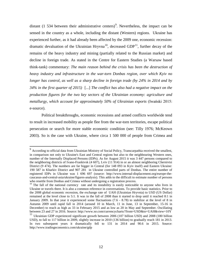distant (1 534 between their administrative centers)<sup>[9](#page-11-0)</sup>. Nevertheless, the impact can be sensed in the country as a whole, including the distant (Western) regions. Ukraine has experienced further, as it had already been affected by the 2009 one, economic recession: dramatic devaluation of the Ukrainian Hryvna<sup>[10](#page-11-1)</sup>, decreased  $GDP<sup>11</sup>$  $GDP<sup>11</sup>$  $GDP<sup>11</sup>$ , further decay of the remains of the heavy industry and mining (partially related to the Russian market) and decline in foreign trade. As stated in the Centre for Eastern Studies (a Warsaw based think-tank) commentary: *The main reason behind the crisis has been the destruction of heavy industry and infrastructure in the war-torn Donbas region, over which Kyiv no longer has control, as well as a sharp decline in foreign trade (by 24% in 2014 and by 34% in the first quarter of 2015)* [...] *The conflict has also had a negative impact on the production figures for the two key sectors of the Ukrainian economy: agriculture and metallurgy, which account for approximately 50% of Ukrainian exports* (Iwański 2015: e-source).

Political breakthroughs, economic recessions and armed conflicts worldwide tend to result in increased mobility as people flee from the war-torn territories, escape political persecution or search for more stable economic condition (see: Tilly 1976; McKeown 2003). So is the case with Ukraine, where circa 1 500 000 of people from Crimea and

<span id="page-11-0"></span><sup>&</sup>lt;sup>9</sup> According to official data from Ukrainian Ministry of Social Policy, Transcarpathia received the smallest, in comparison not only to Ukraine's East and Central regions but also to the neighbouring Western ones, number of the Internally Displaced Persons (IDPs). As for August 2015 it was 3 447 persons compared to the neighboring districts of Ivano-Frankivsk (4 607), Lviv (11 914) in or an almost neighboring Chernivtsi District (9 474). The numbers are far bigger in Central (for 148 093 in Kyiv itself) and Eastern Ukraine: 190 587 in Kharkiv District and 907 281 in Ukraine controlled parts of Donbas. The entire number of registered IDPs in Ukraine was 1 696 697 (source: http://www.internal-displacement.org/europe-thecaucasus-and-central-asia/ukraine/figures-analysis). This adds to the difficult to estimate number of persons who resettle from Donbas and Crimea without undergoing a registration process.

<span id="page-11-1"></span> $10$  The fall of the national currency rate and its instability is easily noticeable to anyone who lives in Ukraine or travels there. It is also a common reference in conversations. To provide basic statistics. Prior to the 2008 global economic recession, the exchange rate of UAH (Ukrainian Hryvnia) to USD (US Dollar) remained at the level close to 5:1. It was in the fall of 2008 than it started to drop until it reached 8:1 in January 2009. In that year it experienced some fluctuations (7.6 - 8.78) to stabilize at the level of 8 in Autumn 2009 until rapid fall in 2014 (around 10 in March, 11 in June, 13 in September, 15-16 in December) to reach as high as 33 in February 2015 and as low as 20 in May and September. Oscillating between 23 and 27 in 2016. Source: http://www.xe.com/currencycharts/?from=USD&to=UAH&view=10Y

<span id="page-11-2"></span><sup>&</sup>lt;sup>11</sup> Ukrainian GDP experienced significant growth between 2006 (107 billion USD) and 2008 (180 billion USD), to fall to 117 billion in 2009, slightly increase in 2010 (136 billion) to gradually reach 181 in 2013. In two subsequent years it dramatically fell to 131 in 2014 and 90.6 in 2015. Source: http://www.tradingeconomics.com/ukraine/gdp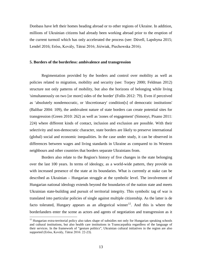Donbass have left their homes heading abroad or to other regions of Ukraine. In addition, millions of Ukrainian citizens had already been working abroad prior to the eruption of the current turmoil which has only accelerated the process (see: Düvell, Lapshyna 2015; Lendel 2016; Erőss, Kovály, Tátrai 2016; Jóźwiak, Piechowska 2016).

#### <span id="page-12-0"></span>**5. Borders of the borderless: ambivalence and transgression**

Regimentation provided by the borders and control over mobility as well as policies related to migration, mobility and security (see: Torpey 2000; Feldman 2012) structure not only patterns of mobility, but also the horizons of belonging while living 'simultaneously on two [or more] sides of the border' (Follis 2012: 79). Even if perceived as 'absolutely nondemocratic, or 'discretionary' condition[s] of democratic institutions' (Balibar 2004: 109), the ambivalent nature of state borders can create potential sites for transgression (Green 2010: 262) as well as 'zones of engagement' (Simonyi, Pisano 2011: 224) where different kinds of contact, inclusion and exclusion are possible. With their selectivity and non-democratic character, state borders are likely to preserve international (global) social and economic inequalities. In the case under study, it can be observed in differences between wages and living standards in Ukraine as compared to its Western neighbours and other countries that borders separate Ukrainians from.

Borders also relate to the Region's history of five changes in the state belonging over the last 100 years. In terms of ideology, as a world-wide pattern, they provide us with increased presence of the state at its boundaries. What is currently at stake can be described as Ukrainian – Hungarian struggle at the symbolic level. The involvement of Hungarian national ideology extends beyond the boundaries of the nation state and meets Ukrainian state-building and pursuit of territorial integrity. This symbolic tag of war is translated into particular policies of single against multiple citizenship. As the latter is de facto tolerated, Hungary appears as an allegorical winner<sup>12</sup>. And this is where the borderlanders enter the scene as actors and agents of negotiation and transgression as it

<span id="page-12-1"></span> $12$  Hungarian extra-territorial policy also takes shape of subsidies not only for Hungarian speaking schools and cultural institutions, but also health care institutions in Transcarpathia regardless of the language of their services. In the framework of "gesture politics", Ukrainian cultural initiatives in the region are also supported (Erőss, Kovály, Tátrai 2016: 22-23).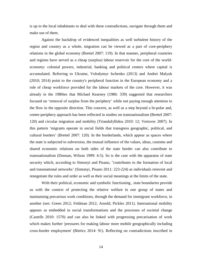is up to the local inhabitants to deal with these contradictions, navigate through them and make use of them.

Against the backdrop of evidenced inequalities as well turbulent history of the region and country as a whole, migration can be viewed as a part of core-periphery relations in the global economy (Brettel 2007: 119). In that manner, peripheral countries and regions have served as a cheap (surplus) labour reservoir for the core of the worldeconomy: colonial powers, industrial, banking and political centers where capital is accumulated. Referring to Ukraine, Volodymyr Ischenko (2013) and Andrei Malyuk (2010; 2014) point to the country's peripheral function in the European economy and a role of cheap workforce provided for the labour markets of the core. However, it was already in the 1980ies that Michael Kearney (1986: 339) suggested that researchers focused on 'removal of surplus from the periphery' while not paying enough attention to the flow in the opposite direction. This concern, as well as a step beyond a bi-polar and, center-periphery approach has been reflected in studies on transnationalism (Brettel 2007: 120) and circular migration and mobility (Triandafyllidou 2010: 12; Vertovec 2007). In this pattern 'migrants operate in social fields that transgress geographic, political, and cultural borders' (Brettel 2007: 120). In the borderlands, which appear as spaces where the state is subjected to subversion, the mutual influence of the values, ideas, customs and shared economic relations on both sides of the state border can also contribute to transnationalism (Donnan, Wilson 1999: 4-5). So is the case with the apparatus of state security which, according to Simonyi and Pisano, "contributes to the formation of local and transnational networks' (Simonyi, Pisano 2011: 223-224) as individuals reinvent and renegotiate the rules and order as well as their social meanings at the limits of the state.

With their political, economic and symbolic functioning , state boundaries provide us with the context of protecting the relative welfare in one group of states and maintaining precarious work conditions, through the demand for immigrant workforce, in another (see: Green 2012; Feldman 2012; Arnold, Pickles 2011). International mobility appears as embedded in social transformations and the processes of societal change (Castells 2010: 1570) and can also be linked with progressing precarisation of work which makes further 'pressures for making labour more mobile geographically including cross-border employment' (Böröcz 2014: 91). Reflecting on contradictions inscribed in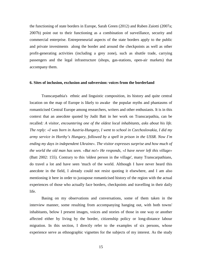the functioning of state borders in Europe, Sarah Green (2012) and Ruben Zaiotti (2007a; 2007b) point out to their functioning as a combination of surveillance, security and commercial enterprise. Entrepreneurial aspects of the state borders apply to the public and private investments along the border and around the checkpoints as well as other profit-generating activities (including a grey zone), such as shuttle trade, carrying passengers and the legal infrastructure (shops, gas-stations, open-air markets) that accompany them.

# <span id="page-14-0"></span>**6. Sites of inclusion, exclusion and subversion: voices from the borderland**

Transcarpathia's ethnic and linguistic composition, its history and quite central location on the map of Europe is likely to awake the popular myths and phantasms of romanticised Central Europe among researchers, writers and other enthusiasts. It is in this context that an anecdote quoted by Judit Batt in her work on Transcarpathia, can be recalled*: A visitor, encountering one of the oldest local inhabitants, asks about his life. The reply: «I was born in Austria-Hungary, I went to school in Czechoslovakia, I did my army service in Horthy's Hungary, followed by a spell in prison in the USSR. Now I'm ending my days in independent Ukraine». The visitor expresses surprise and how much of the world the old man has seen. «But no!» He responds, «I have never left this village»* (Batt 2002: 155). Contrary to this 'oldest person in the village', many Transcarpathians, do travel a lot and have seen 'much of the world. Although I have never heard this anecdote in the field, I already could not resist quoting it elsewhere, and I am also mentioning it here in order to juxtapose romanticised history of the region with the actual experiences of those who actually face borders, checkpoints and travelling in their daily life.

Basing on my observations and conversations, some of them taken in the interview manner, some resulting from accompanying hanging out, with both towns' inhabitants, below I present images, voices and stories of those in one way or another affected either by living by the border, citizenship policy or long-distance labour migration. In this section, I directly refer to the examples of six persons, whose experience serve as ethnographic vignettes for the subjects of my interest. As the study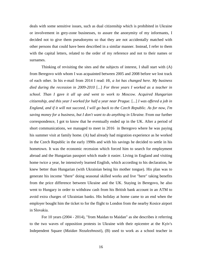deals with some sensitive issues, such as dual citizenship which is prohibited in Ukraine or involvement in grey-zone businesses, to assure the anonymity of my informants, I decided not to give them pseudonyms so that they are not accidentally matched with other persons that could have been described in a similar manner. Instead, I refer to them with the capital letters, related to the order of my reference and not to their names or surnames.

Thinking of revisiting the sites and the subjects of interest, I shall start with (A) from Beregovo with whom I was acquainted between 2005 and 2008 before we lost track of each other. In his e-mail from 2014 I read: *Hi, a lot has changed here. My business died during the recession in 2009-2010* [...] *For three years I worked as a teacher in school. Than I* gave *it all up and went to work to Moscow. Acquired Hungarian citizenship, and this year I worked for half a year near Prague.* [...] *I was offered a job in England, and if it will not succeed, I will go back to the Czech Republic. As for now, I'm saving money for a business, but I don't want to do anything in Ukraine.* From our further correspondence, I got to know that he eventually ended up in the UK. After a period of short communications, we managed to meet in 2016 in Beregovo where he was paying his summer visit at family home. (A) had already had migration experience as he worked in the Czech Republic in the early 1990s and with his savings he decided to settle in his hometown. It was the economic recession which forced him to search for employment abroad and the Hungarian passport which made it easier. Living in England and visiting home twice a year, he intensively learned English, which according to his declaration, he knew better than Hungarian (with Ukrainian being his mother tongue). His plan was to generate his income "there" doing seasonal skilled works and live "here" taking benefits from the price difference between Ukraine and the UK. Staying in Beregovo, he also went to Hungary in order to withdraw cash from his British bank account in an ATM to avoid extra charges of Ukrainian banks. His holiday at home came to an end when the employer bought him the ticket to for the flight to London from the nearby Kosice airport in Slovakia.

For 10 years (2004 - 2014), "from Maidan to Maidan" as she describes it referring to the two waves of opposition protests in Ukraine with their epicentre at the Kyiv's Independent Square (*Maidan Nezalezhnosti*), (B) used to work as a school teacher in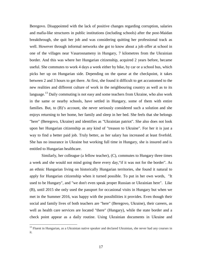Beregovo. Disappointed with the lack of positive changes regarding corruption, salaries and mafia-like structures in public institutions (including schools) after the post-Maidan breakthrough, she quit her job and was considering quitting her professional track as well. However through informal networks she got to know about a job offer at school in one of the villages near Vasarosnameny in Hungary, 7 kilometres from the Ukrainian border. And this was where her Hungarian citizenship, acquired 2 years before, became useful. She commutes to work 4 days a week either by bike, by car or a school bus, which picks her up on Hungarian side. Depending on the queue at the checkpoint, it takes between 2 and 3 hours to get there. At first, she found it difficult to get accustomed to the new realities and different culture of work in the neighbouring country as well as to its language.<sup>[13](#page-16-0)</sup> Daily commuting is not easy and some teachers from Ukraine, who also work in the same or nearby schools, have settled in Hungary, some of them with entire families. But, to (B)'s account, she never seriously considered such a solution and she enjoys returning to her home, her family and sleep in her bed. She feels that she belongs "here" (Beregovo, Ukraine) and identifies as "Ukrainian patriot". She also does not look upon her Hungarian citizenship as any kind of "treason to Ukraine". For her it is just a way to find a better paid job. Truly better, as her salary has increased at least fivefold. She has no insurance in Ukraine but working full time in Hungary, she is insured and is entitled to Hungarian healthcare.

Similarly, her colleague (a fellow teacher), (C), commutes to Hungary three times a week and she would not mind going there every day,"if it was not for the border". As an ethnic Hungarian living on historically Hungarian territories, she found it natural to apply for Hungarian citizenship when it turned possible. To put in her own words, "It used to be Hungary", and "we don't even speak proper Russian or Ukrainian here". Like (B), until 2015 she only used the passport for occasional visits in Hungary but when we met in the Summer 2016, was happy with the possibilities it provides. Even though their social and family lives of both teachers are "here" (Beregovo, Ukraine), their careers, as well as health care services are located "there" (Hungary), while the state border and a check point appear as a daily routine. Using Ukrainian documents in Ukraine and

<span id="page-16-0"></span><sup>&</sup>lt;sup>13</sup> Fluent in Hungarian, as a Ukrainian native speaker and declared Ukrainian, she never had any courses in it.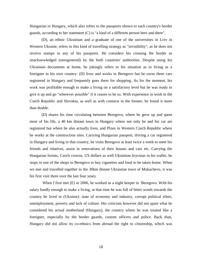Hungarian in Hungary, which also refers to the passports shown to each country's border guards, according to her statement (C) is "a kind of a different person here and there".

(D), an ethnic Ukrainian and a graduate of one of the universities in Lviv in Western Ukraine, refers to this kind of travelling strategy as "invisibility", as he does not receive stamps in any of his passports. He considers his crossing the border as unacknowledged (unregistered) by the both countries' authorities. Despite using his Ukrainian documents at home, he jokingly refers to his situation as to living as a foreigner in his own country. (D) lives and works in Beregovo but he owns three cars registered in Hungary and frequently goes there for shopping. As for the moment, his work was profitable enough to make a living on a satisfactory level but he was ready to give it up and go "wherever possible" if it ceases to be so. With experience in work in the Czech Republic and Slovakia, as well as with contacts in the former, he found it more than doable.

(D) shares his time circulating between Beregovo, where he grew up and spent most of his life, a 40 km distant town in Hungary where not only he and his car are registered but where he also actually lives, and Plzen in Western Czech Republic where he works at the construction sites. Carrying Hungarian passport, driving a car registered in Hungary and living in that country, he visits Beregovo at least twice a week to meet his friends and relatives, assist in renovations of their houses and cars etc. Carrying the Hungarian forints, Czech crowns, US dollars as well Ukrainian hryvnias in his wallet, he stops in one of the shops in Beregovo to buy cigarettes and food to be taken home. When we met and travelled together to the 30km distant Ukrainian town of Mukachevo, it was his first visit there over the last four years.

When I first met (E) in 2006, he worked as a night keeper in Beregovo. With his salary hardly enough to make a living, at that time he was full of bitter words towards the country he lived in (Ukraine): state of economy and industry, corrupt political elites, unemployment, poverty and lack of culture. His criticism however did not spare what he considered his actual motherland (Hungary), the country where he was treated like a foreigner, especially by the border guards, custom officers and police. Back than, Hungary did not allow its co-ethnics from abroad the right to citizenship, which was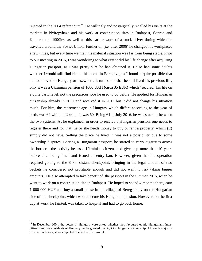rejected in the 2004 referendum<sup>14</sup>. He willingly and nostalgically recalled his visits at the markets in Nyiregyhaza and his work at construction sites in Budapest, Sopron and Komarom in 1990ies, as well as this earlier work of a truck driver during which he travelled around the Soviet Union. Further on (i.e. after 2006) he changed his workplaces a few times, but every time we met, his material situation was far from being stable. Prior to our meeting in 2016, I was wondering to what extent did his life change after acquiring Hungarian passport, as I was pretty sure he had obtained it. I also had some doubts whether I would still find him at his home in Beregovo, as I found it quite possible that he had moved to Hungary or elsewhere. It turned out that he still lived his previous life, only it was a Ukrainian pension of 1000 UAH (circa 35 EUR) which "secured" his life on a quite basic level, not the precarious jobs he used to do before. He applied for Hungarian citizenship already in 2011 and received it in 2012 but it did not change his situation much. For him, the retirement age in Hungary which differs according to the year of birth, was 64 while in Ukraine it was 60. Being 61 in July 2016, he was stuck in-between the two systems. As he explained, in order to receive a Hungarian pension, one needs to register there and for that, he or she needs money to buy or rent a property, which (E) simply did not have. Selling the place he lived in was not a possibility due to some ownership disputes. Bearing a Hungarian passport, he started to carry cigarettes across the border - the activity he, as a Ukrainian citizen, had given up more than 10 years before after being fined and issued an entry ban. However, given that the operation required getting to the 8 km distant checkpoint, bringing in the legal amount of two packets he considered not profitable enough and did not want to risk taking bigger amounts. He also attempted to take benefit of the passport in the summer 2016, when he went to work on a construction site in Budapest. He hoped to spend 4 months there, earn 1 000 000 HUF and buy a small house in the village of Beregsurany on the Hungarian side of the checkpoint, which would secure his Hungarian pension. However, on the first day at work, he fainted, was taken to hospital and had to go back home.

<span id="page-18-0"></span> $14$  In December 2004, the voters in Hungary were asked whether they favoured ethnic Hungarians (noncitizens and non-residents of Hungary) to be granted the right to Hungarian citizenship. Although majority of voted in favour, it was rejected due to the low turnout.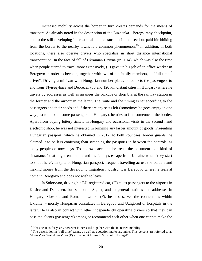Increased mobility across the border in turn creates demands for the means of transport. As already noted in the description of the Luzhanka - Beregsurany checkpoint, due to the still developing international public transport in this section, paid hitchhiking from the border to the nearby towns is a common phenomenon.<sup>[15](#page-19-0)</sup> In addition, in both locations, there also operate drivers who specialise in short distance international transportation. In the face of fall of Ukrainian Hryvna (in 2014), which was also the time when people started to travel more extensively, (F) gave up his job of an office worker in Beregovo in order to become, together with two of his family members, a "full time<sup>[16](#page-19-1)</sup> driver". Driving a minivan with Hungarian number plates he collects the passengers to and from Nyiregyhaza and Debrecen (80 and 120 km distant cities in Hungary) where he travels by addresses as well as arranges the pickups or drop bys at the railway station in the former and the airport in the latter. The route and the timing is set according to the passengers and their needs and if there are any seats left (sometimes he goes empty in one way just to pick up some passengers in Hungary), he tries to find someone at the border. Apart from buying lottery tickets in Hungary and occasional visits in the second hand electronic shop, he was not interested in bringing any larger amount of goods. Presenting Hungarian passport, which he obtained in 2012, to both countries' border guards, he claimed it to be less confusing than swapping the passports in between the controls, as many people do nowadays. To his own account, he treats the document as a kind of "insurance" that might enable his and his family's escape from Ukraine when "they start to shoot here". In spite of Hungarian passport, frequent travelling across the borders and making money from the developing migration industry, it is Beregovo where he feels at home in Beregovo and does not wish to leave.

In Solotvyno, driving his EU-registered car, (G) takes passengers to the airports in Kosice and Debrecen, bus station in Sighet, and in general stations and addresses in Hungary, Slovakia and Romania. Unlike (F), he also serves the connections within Ukraine - mostly Hungarian consulates in Beregovo and Uzhgorod or hospitals in the latter. He is also in contact with other independently operating drivers so that they can pass the clients (passengers) among or recommend each other when one cannot make the

<span id="page-19-1"></span><span id="page-19-0"></span> $15$  It has been so for years, however it increased together with the increased mobility  $16$  The description in "full time" terms, as well as quotation marks are mine. This persons are referred to as "drivers" or "taxi drivers", as (F) explained it himself: "it is not fully legal".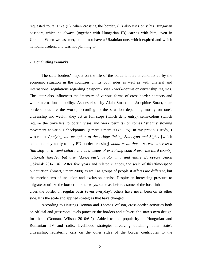requested route. Like (F), when crossing the border, (G) also uses only his Hungarian passport, which he always (together with Hungarian ID) carries with him, even in Ukraine. When we last met, he did not have a Ukrainian one, which expired and which he found useless, and was not planning to.

### <span id="page-20-0"></span>**7. Concluding remarks**

The state borders' impact on the life of the borderlanders is conditioned by the economic situation in the countries on its both sides as well as with bilateral and international regulations regarding passport - visa - work-permit or citizenship regimes. The latter also influences the intensity of various forms of cross-border contacts and wider international mobility. As described by Alain Smart and Josephine Smart, state borders structure the world, according to the situation depending mostly on one's citizenship and wealth, they act as full stops (which deny entry), semi-colons (which require the travellers to obtain visas and work permits) or comas "slightly slowing movement at various checkpoints" (Smart, Smart 2008: 175). In my previous study, I wrote that *Applying the metaphor to the bridge linking Solotvyno and Sighet* [which could actually apply to any EU border crossing] *would mean that it serves either as a 'full stop' or a 'semi-colon', and as a means of exercising control over the third country nationals (needed but also 'dangerous') in Romania and entire European Union* (Jóźwiak 2014: 36). After five years and related changes, the scale of this 'time-space punctuation' (Smart, Smart 2008) as well as groups of people it affects are different, but the mechanisms of inclusion and exclusion persist. Despite an increasing pressure to migrate or utilize the border in other ways, same as 'before': some of the local inhabitants cross the border on regular basis (even everyday), others have never been on its other side. It is the scale and applied strategies that have changed.

According to Hastings Donnan and Thomas Wilson, cross-border activities both on official and grassroots levels puncture the borders and subvert 'the state's own design' for them (Donnan, Wilson 2010:6-7). Added to the popularity of Hungarian and Romanian TV and radio, livelihood strategies involving obtaining other state's citizenship, registering cars on the other sides of the border contributes to the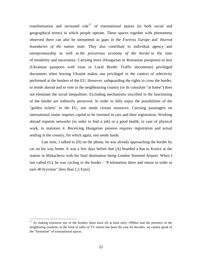transformation and increased role<sup>[17](#page-21-0)</sup> of transnational spaces (in both social and geographical terms) in which people operate. These spaces together with phenomena observed there can also be interpreted as *gaps in the Fortress Europe* and *blurred boundaries of the nation state*. They also contribute to individual agency and entrepreneurship as well as *the precarious economy of the border* in the time of instability and uncertainty. Carrying more (Hungarian or Romanian passports) or less (Ukrainian passports with visas or Local Border Traffic documents) privileged documents when leaving Ukraine makes one privileged in the context of selectivity performed at the borders of the EU. However, safeguarding the rights to cross the border, to reside abroad and to vote in the neighbouring country (or its consulate "at home") does not eliminate the social inequalities. Excluding mechanisms inscribed in the functioning of the border are indirectly preserved. In order to fully enjoy the possibilities of the "golden tickets" to the EU, one needs certain resources. Carrying passengers on international routes requires capital to be invested in cars and their registration. Working abroad requires networks (in order to find a job) or a good health, in case of physical work, to maintain it. Receiving Hungarian pension requires registration and actual settling in the country, for which again, one needs funds.

Last time, I talked to (D) on the phone, he was already approaching the border by car on his way home. It was a few days before that (A) boarded a bus to Kosice at the station in Mukachevo with his final destination being London Stansted Airport. When I last called (G), he was cycling to the border - "8 kilometres there and return in order to earn 40 hryvnias" [less than 1,5 Euro].

<span id="page-21-0"></span> $17$  As making extensive use of the borders dates back till at least early 1990ies and the presence of the neighboring countries in the form of radio or TV station has been the case for decades, we cannot speak of the "formation" of transnational spaces.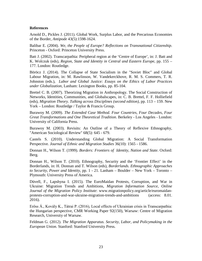# <span id="page-22-0"></span>**References**

Arnold D., Pickles J. (2011). Global Work, Surplus Labor, and the Precarious Economies of the Border, *Antipode* 43(5):1598-1624.

Balibar E. (2004). *We, the People of Europe? Reflections on Transnational Citizenship*. Princeton - Oxford: Princeton University Press.

Batt J. (2002). Transcarpathia: Peripheral region at the 'Centre of Europe', in: J. Batt and K. Wolczuk (eds), *Region, State and Identity in Central and Eastern Europe*, pp. 155 – 177. London: Routledge.

Böröcz J. (2014). The Collapse of State Socialism in the "Soviet Bloc" and Global Labour Migration, in: M. Rawlinson, W. Vandekerckhove, R. M. S. Commers, T. R. Johnston (eds.), *Labor and Global Justice: Essays on the Ethics of Labor Practices under Globalization*, Lanham: Lexington Books, pp. 85-104.

Brettel C. B. (2007). Theorizing Migration in Anthropology. The Social Construction of Networks, Identities, Communities, and Globalscapes, in: C. B. Brettel, F. F. Holliefield (eds), *Migration Theory. Talking across Disciplines (second edition)*, pp. 113 – 159. New York – London: Routledge / Taylor & Francis Group.

Burawoy M. (2009). *The Extended Case Method. Four Countries, Four Decades, Four Great Transformations and One Theoretical Tradition*. Berkeley - Los Angeles - London: University of California Press.

Burawoy M. (2003). Revisits: An Outline of a Theory of Reflexive Ethnography, "American Sociological Review" 68(5): 645 - 679.

Castels S. (2010). Understanding Global Migration: A Social Transformation Perspective. *Journal of Ethnic and Migration Studies* 36(10): 1565 - 1586.

Donnan H., Wilson T. (1999). *Borders: Frontiers of Identity, Nation and State*. Oxford: Berg.

Donnan H., Wilson T. (2010). Ethnography, Security and the 'Frontier Effect' in the Borderlands, in: H. Donnan and T. Wilson (eds), *Borderlands. Ethnographic Approaches to Security, Power and Identity*, pp. 1 - 21. Lanham – Boulder – New York – Toronto – Plymouth: University Press of America.

Düvell, F., Lapshyna I. (2015). The EuroMaidan Protests, Corruption, and War in Ukraine: Migration Trends and Ambitions, *Migration Information Source, Online Journal of the Migration Policy Institute*: www.migrationpolicy.org/article/euromaidanprotests-corruption-and-war-ukraine-migration-trends-and-ambitions (access: 8.01. 2016).

Erőss Á., Kovály K., Tátrai P. (2016), Local effects of Ukrainian crisis in Transcarpathia: the Hungarian perspective, CMR Working Paper 92(150), Warsaw: Centre of Migration Research, University of Warsaw.

Feldman G. (2012). *The Migration Apparatus. Security, Labor, and Policymaking in the European Union.* Stanford: Stanford University Press.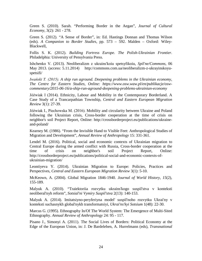Green S. (2010). Sarah. "Performing Border in the Aegan", *Journal of Cultural Economy*, 3(2): 261 - 278.

Green S. (2012). "A Sense of Border", in: Ed. Hastings Donnan and Thomas Wilson (eds). *A Companion to Border Studies*, pp. 573 – 592. Malden – Oxford: Wiley-Blackwell,

Follis S. K. (2012). *Building Fortress Europe. The Polish-Ukrainian Frontier*. Philadelphia: University of Pensylvania Press.

Ishchenko V. (2013). Neoliberalizm z ukrains'koiu spetsyfikoiu, *Spil'ne/Commons*, 06 May 2013. (access: 5.11.2014) http://commons.com.ua/neoliberalizm-z-ukrayinskoyuspetsifi/

*Iwański T. (2015). A ship run aground. Deepening problems in the Ukrainian economy, The Centre for Eastern Studies, Online: https://www.osw.waw.pl/en/publikacje/oswcommentary/2015-06-16/a-ship-run-aground-deepening-problems-ukrainian-economy*

Jóźwiak I (2014). Ethnicity, Labour and Mobility in the Contemporary Borderland. A Case Study of a Trancarpathian Township, *Central and Eastern European Migration Review* 3(1): 27-39.

Jóźwiak I., Piechowska M. (2016). Mobility and circularity between Ukraine and Poland following the Ukrainian crisis, Cross-border cooperation at the time of crisis on neighbor's soil Project Report, Online: http://crossborderproject.eu/publications/ukraineand-poland/

Kearney M. (1986). "From the Invisible Hand to Visible Feet: Anthropological Studies of Migration and Development", *Annual Review of Anthropology* 15: 331-361.

Lendel M. (2016). Political, social and economic contexts of Ukrainian migration to Central Europe during the armed conflict with Russia, Cross-border cooperation at the time of crisis on neighbor's soil Project Report, Online: http://crossborderproject.eu/publications/political-social-and-economic-contexts-ofukrainian-migration/

Leontiyeva Y. (2014). Ukrainian Migration to Europe: Policies, Practices and Perspectives, *Central and Eastern European Migration Review* 3(1): 5-10.

McKeown, A. (2004). Global Migration 1846-1940. *Journal of World History, 15*(2), 155-189.

Malyuk A. (2010). "Traiektoriia rozvytku ukrains'kogo suspil'stva v konteksti neoliberal'nyh reform", *Sotsial'ni Vymiry Suspil'stva* 2(13): 140-153.

Malyuk A. (2014). Imitatsiyno-peryferiyna model' suspil'noho rozvytku Ukrai'ny v konteksti suchasnykh global'nykh transformatsiyi, *Ukrai'ns'kyi Sotsium* 1(48): 22-30.

Marcus G. (1995). Ethnography In/Of The World System: The Emergence of Multi-Sited Ethnography. *Annual Review of Anthropology* 24: 95 - 117.

Pisano J., Simonyi A. (2011). The Social Lives of Borders: Political Economy at the Edge of the European Union, in: J. De Bardeleben, A. Hurrelmann (eds), *Transnational*